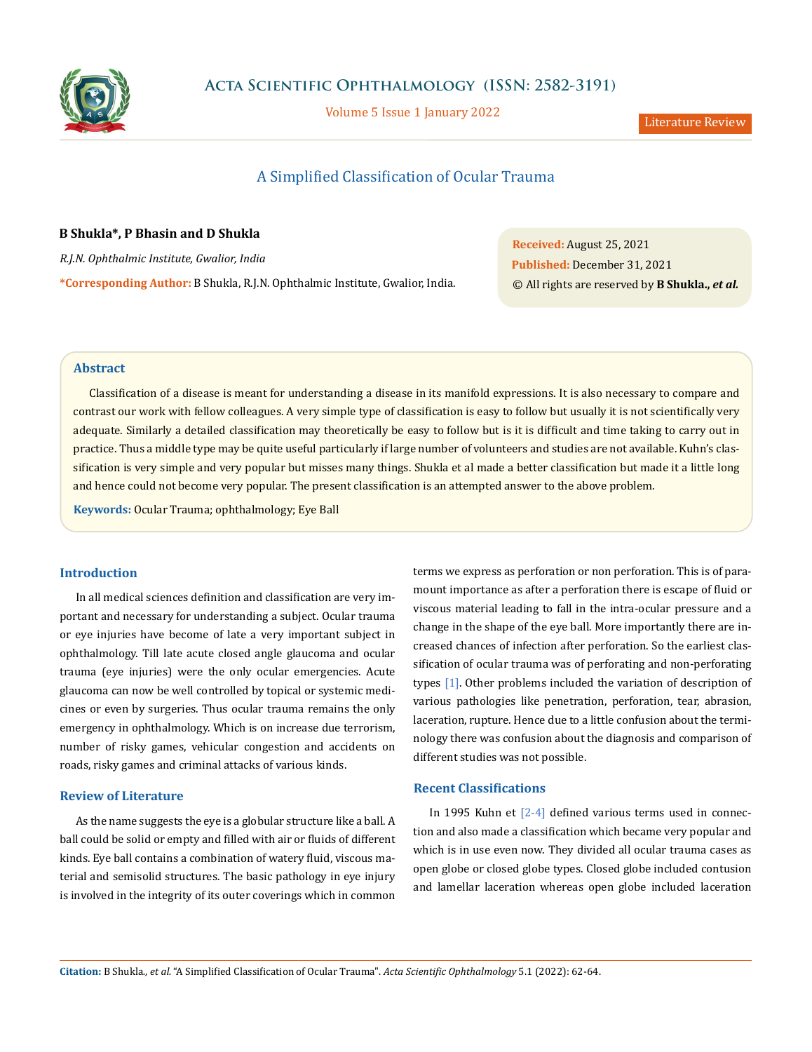

**Acta Scientific Ophthalmology (ISSN: 2582-3191)**

Volume 5 Issue 1 January 2022<br>
Literature Review

# A Simplified Classification of Ocular Trauma

## **B Shukla\*, P Bhasin and D Shukla**

*R.J.N. Ophthalmic Institute, Gwalior, India*

**\*Corresponding Author:** B Shukla, R.J.N. Ophthalmic Institute, Gwalior, India.

**Received:** August 25, 2021 **Published:** December 31, 2021 © All rights are reserved by **B Shukla.,** *et al.*

### **Abstract**

Classification of a disease is meant for understanding a disease in its manifold expressions. It is also necessary to compare and contrast our work with fellow colleagues. A very simple type of classification is easy to follow but usually it is not scientifically very adequate. Similarly a detailed classification may theoretically be easy to follow but is it is difficult and time taking to carry out in practice. Thus a middle type may be quite useful particularly if large number of volunteers and studies are not available. Kuhn's classification is very simple and very popular but misses many things. Shukla et al made a better classification but made it a little long and hence could not become very popular. The present classification is an attempted answer to the above problem.

**Keywords:** Ocular Trauma; ophthalmology; Eye Ball

## **Introduction**

In all medical sciences definition and classification are very important and necessary for understanding a subject. Ocular trauma or eye injuries have become of late a very important subject in ophthalmology. Till late acute closed angle glaucoma and ocular trauma (eye injuries) were the only ocular emergencies. Acute glaucoma can now be well controlled by topical or systemic medicines or even by surgeries. Thus ocular trauma remains the only emergency in ophthalmology. Which is on increase due terrorism, number of risky games, vehicular congestion and accidents on roads, risky games and criminal attacks of various kinds.

## **Review of Literature**

As the name suggests the eye is a globular structure like a ball. A ball could be solid or empty and filled with air or fluids of different kinds. Eye ball contains a combination of watery fluid, viscous material and semisolid structures. The basic pathology in eye injury is involved in the integrity of its outer coverings which in common terms we express as perforation or non perforation. This is of paramount importance as after a perforation there is escape of fluid or viscous material leading to fall in the intra-ocular pressure and a change in the shape of the eye ball. More importantly there are increased chances of infection after perforation. So the earliest classification of ocular trauma was of perforating and non-perforating types [1]. Other problems included the variation of description of various pathologies like penetration, perforation, tear, abrasion, laceration, rupture. Hence due to a little confusion about the terminology there was confusion about the diagnosis and comparison of different studies was not possible.

## **Recent Classifications**

In 1995 Kuhn et [2-4] defined various terms used in connection and also made a classification which became very popular and which is in use even now. They divided all ocular trauma cases as open globe or closed globe types. Closed globe included contusion and lamellar laceration whereas open globe included laceration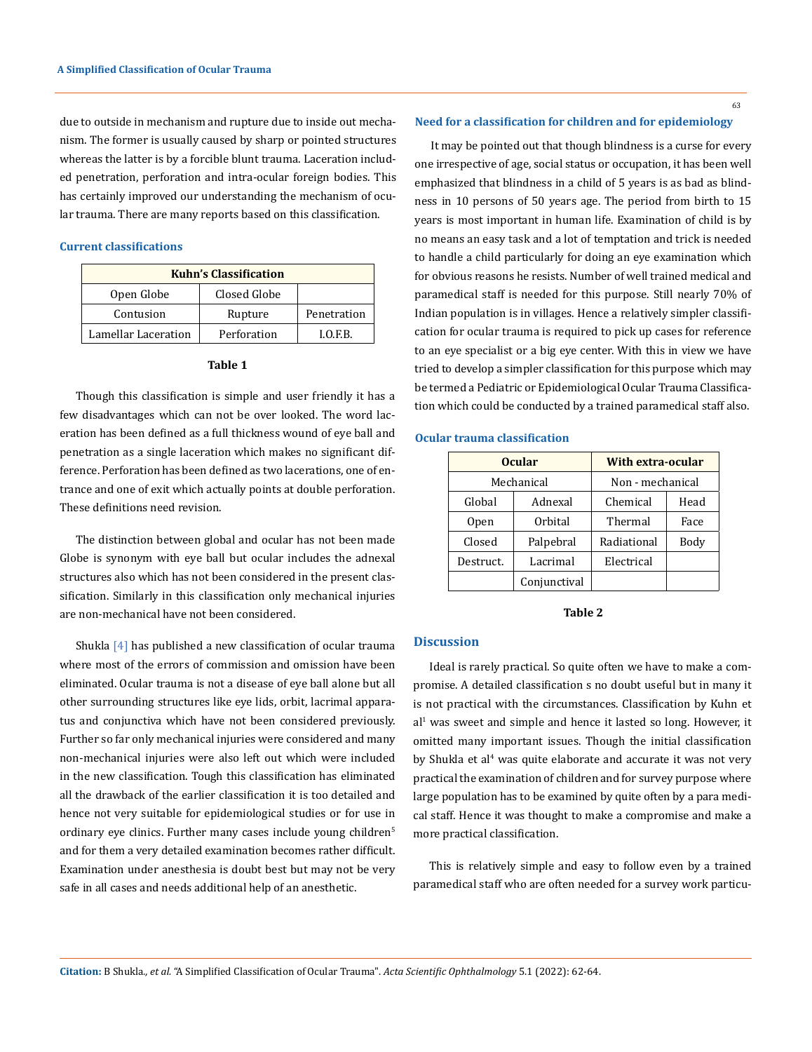due to outside in mechanism and rupture due to inside out mechanism. The former is usually caused by sharp or pointed structures whereas the latter is by a forcible blunt trauma. Laceration included penetration, perforation and intra-ocular foreign bodies. This has certainly improved our understanding the mechanism of ocular trauma. There are many reports based on this classification.

### **Current classifications**

| <b>Kuhn's Classification</b> |              |             |  |  |
|------------------------------|--------------|-------------|--|--|
| Open Globe                   | Closed Globe |             |  |  |
| Contusion                    | Rupture      | Penetration |  |  |
| Lamellar Laceration          | Perforation  | I.O.F.B.    |  |  |

#### **Table 1**

Though this classification is simple and user friendly it has a few disadvantages which can not be over looked. The word laceration has been defined as a full thickness wound of eye ball and penetration as a single laceration which makes no significant difference. Perforation has been defined as two lacerations, one of entrance and one of exit which actually points at double perforation. These definitions need revision.

The distinction between global and ocular has not been made Globe is synonym with eye ball but ocular includes the adnexal structures also which has not been considered in the present classification. Similarly in this classification only mechanical injuries are non-mechanical have not been considered.

Shukla [4] has published a new classification of ocular trauma where most of the errors of commission and omission have been eliminated. Ocular trauma is not a disease of eye ball alone but all other surrounding structures like eye lids, orbit, lacrimal apparatus and conjunctiva which have not been considered previously. Further so far only mechanical injuries were considered and many non-mechanical injuries were also left out which were included in the new classification. Tough this classification has eliminated all the drawback of the earlier classification it is too detailed and hence not very suitable for epidemiological studies or for use in ordinary eye clinics. Further many cases include young children<sup>5</sup> and for them a very detailed examination becomes rather difficult. Examination under anesthesia is doubt best but may not be very safe in all cases and needs additional help of an anesthetic.

63

It may be pointed out that though blindness is a curse for every one irrespective of age, social status or occupation, it has been well emphasized that blindness in a child of 5 years is as bad as blindness in 10 persons of 50 years age. The period from birth to 15 years is most important in human life. Examination of child is by no means an easy task and a lot of temptation and trick is needed to handle a child particularly for doing an eye examination which for obvious reasons he resists. Number of well trained medical and paramedical staff is needed for this purpose. Still nearly 70% of Indian population is in villages. Hence a relatively simpler classification for ocular trauma is required to pick up cases for reference to an eye specialist or a big eye center. With this in view we have tried to develop a simpler classification for this purpose which may be termed a Pediatric or Epidemiological Ocular Trauma Classification which could be conducted by a trained paramedical staff also.

#### **Ocular trauma classification**

| <b>Ocular</b>    |              | <b>With extra-ocular</b> |      |  |
|------------------|--------------|--------------------------|------|--|
| Mechanical       |              | Non - mechanical         |      |  |
| Global           | Adnexal      | Chemical                 | Head |  |
| 0 <sub>pen</sub> | Orbital      | Thermal                  | Face |  |
| Closed           | Palpebral    | Radiational              | Body |  |
| Destruct.        | Lacrimal     | Electrical               |      |  |
|                  | Conjunctival |                          |      |  |

**Table 2**

## **Discussion**

Ideal is rarely practical. So quite often we have to make a compromise. A detailed classification s no doubt useful but in many it is not practical with the circumstances. Classification by Kuhn et al<sup>1</sup> was sweet and simple and hence it lasted so long. However, it omitted many important issues. Though the initial classification by Shukla et al<sup>4</sup> was quite elaborate and accurate it was not very practical the examination of children and for survey purpose where large population has to be examined by quite often by a para medical staff. Hence it was thought to make a compromise and make a more practical classification.

This is relatively simple and easy to follow even by a trained paramedical staff who are often needed for a survey work particu